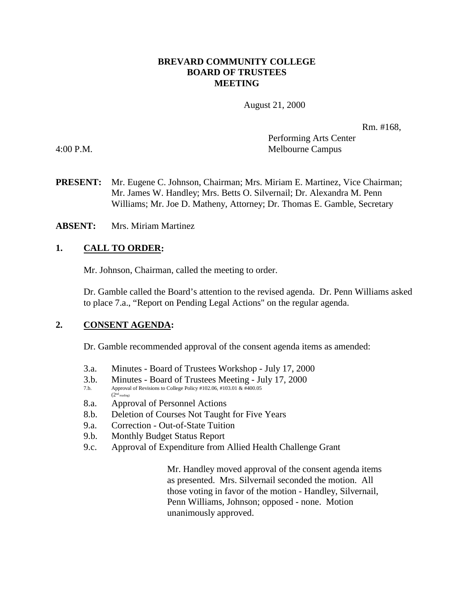#### **BREVARD COMMUNITY COLLEGE BOARD OF TRUSTEES MEETING**

August 21, 2000

Rm. #168,

Performing Arts Center 4:00 P.M. Melbourne Campus

- **PRESENT:** Mr. Eugene C. Johnson, Chairman; Mrs. Miriam E. Martinez, Vice Chairman; Mr. James W. Handley; Mrs. Betts O. Silvernail; Dr. Alexandra M. Penn Williams; Mr. Joe D. Matheny, Attorney; Dr. Thomas E. Gamble, Secretary
- **ABSENT:** Mrs. Miriam Martinez

### **1. CALL TO ORDER:**

Mr. Johnson, Chairman, called the meeting to order.

Dr. Gamble called the Board's attention to the revised agenda. Dr. Penn Williams asked to place 7.a., "Report on Pending Legal Actions" on the regular agenda.

#### **2. CONSENT AGENDA:**

Dr. Gamble recommended approval of the consent agenda items as amended:

- 3.a. Minutes Board of Trustees Workshop July 17, 2000
- 3.b. Minutes Board of Trustees Meeting July 17, 2000
- Approval of Revisions to College Policy #102.06, #103.01 & #400.05  $(2<sup>nd</sup>$  reading)
- 8.a. Approval of Personnel Actions
- 8.b. Deletion of Courses Not Taught for Five Years
- 9.a. Correction Out-of-State Tuition
- 9.b. Monthly Budget Status Report
- 9.c. Approval of Expenditure from Allied Health Challenge Grant

Mr. Handley moved approval of the consent agenda items as presented. Mrs. Silvernail seconded the motion. All those voting in favor of the motion - Handley, Silvernail, Penn Williams, Johnson; opposed - none. Motion unanimously approved.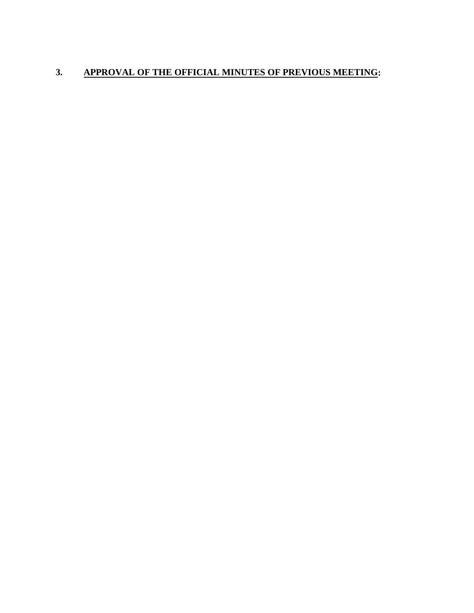# **3. APPROVAL OF THE OFFICIAL MINUTES OF PREVIOUS MEETING:**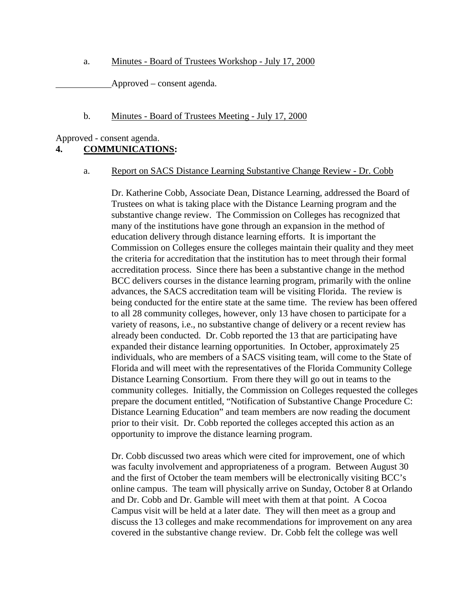a. Minutes - Board of Trustees Workshop - July 17, 2000

Approved – consent agenda.

#### b. Minutes - Board of Trustees Meeting - July 17, 2000

Approved - consent agenda.

# **4. COMMUNICATIONS:**

#### a. Report on SACS Distance Learning Substantive Change Review - Dr. Cobb

Dr. Katherine Cobb, Associate Dean, Distance Learning, addressed the Board of Trustees on what is taking place with the Distance Learning program and the substantive change review. The Commission on Colleges has recognized that many of the institutions have gone through an expansion in the method of education delivery through distance learning efforts. It is important the Commission on Colleges ensure the colleges maintain their quality and they meet the criteria for accreditation that the institution has to meet through their formal accreditation process. Since there has been a substantive change in the method BCC delivers courses in the distance learning program, primarily with the online advances, the SACS accreditation team will be visiting Florida. The review is being conducted for the entire state at the same time. The review has been offered to all 28 community colleges, however, only 13 have chosen to participate for a variety of reasons, i.e., no substantive change of delivery or a recent review has already been conducted. Dr. Cobb reported the 13 that are participating have expanded their distance learning opportunities. In October, approximately 25 individuals, who are members of a SACS visiting team, will come to the State of Florida and will meet with the representatives of the Florida Community College Distance Learning Consortium. From there they will go out in teams to the community colleges. Initially, the Commission on Colleges requested the colleges prepare the document entitled, "Notification of Substantive Change Procedure C: Distance Learning Education" and team members are now reading the document prior to their visit. Dr. Cobb reported the colleges accepted this action as an opportunity to improve the distance learning program.

Dr. Cobb discussed two areas which were cited for improvement, one of which was faculty involvement and appropriateness of a program. Between August 30 and the first of October the team members will be electronically visiting BCC's online campus. The team will physically arrive on Sunday, October 8 at Orlando and Dr. Cobb and Dr. Gamble will meet with them at that point. A Cocoa Campus visit will be held at a later date. They will then meet as a group and discuss the 13 colleges and make recommendations for improvement on any area covered in the substantive change review. Dr. Cobb felt the college was well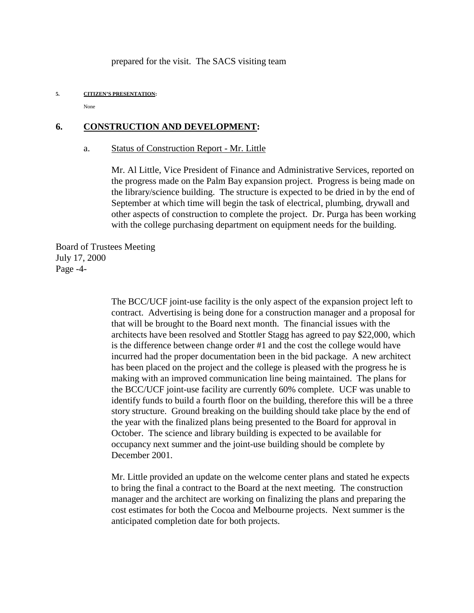prepared for the visit. The SACS visiting team

#### **5. CITIZEN'S PRESENTATION:**

None

#### **6. CONSTRUCTION AND DEVELOPMENT:**

#### a. Status of Construction Report - Mr. Little

Mr. Al Little, Vice President of Finance and Administrative Services, reported on the progress made on the Palm Bay expansion project. Progress is being made on the library/science building. The structure is expected to be dried in by the end of September at which time will begin the task of electrical, plumbing, drywall and other aspects of construction to complete the project. Dr. Purga has been working with the college purchasing department on equipment needs for the building.

Board of Trustees Meeting July 17, 2000 Page -4-

> The BCC/UCF joint-use facility is the only aspect of the expansion project left to contract. Advertising is being done for a construction manager and a proposal for that will be brought to the Board next month. The financial issues with the architects have been resolved and Stottler Stagg has agreed to pay \$22,000, which is the difference between change order #1 and the cost the college would have incurred had the proper documentation been in the bid package. A new architect has been placed on the project and the college is pleased with the progress he is making with an improved communication line being maintained. The plans for the BCC/UCF joint-use facility are currently 60% complete. UCF was unable to identify funds to build a fourth floor on the building, therefore this will be a three story structure. Ground breaking on the building should take place by the end of the year with the finalized plans being presented to the Board for approval in October. The science and library building is expected to be available for occupancy next summer and the joint-use building should be complete by December 2001.

Mr. Little provided an update on the welcome center plans and stated he expects to bring the final a contract to the Board at the next meeting. The construction manager and the architect are working on finalizing the plans and preparing the cost estimates for both the Cocoa and Melbourne projects. Next summer is the anticipated completion date for both projects.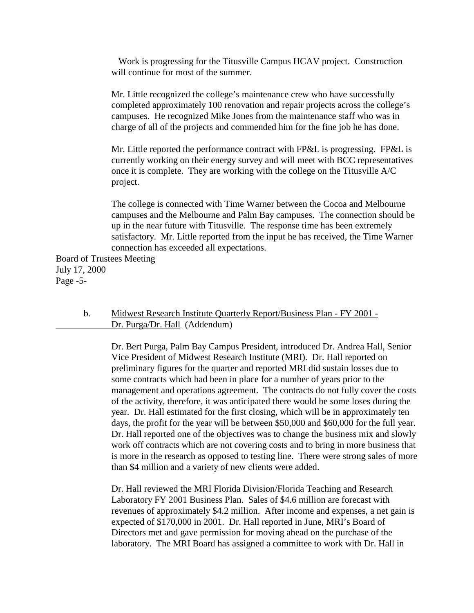Work is progressing for the Titusville Campus HCAV project. Construction will continue for most of the summer.

Mr. Little recognized the college's maintenance crew who have successfully completed approximately 100 renovation and repair projects across the college's campuses. He recognized Mike Jones from the maintenance staff who was in charge of all of the projects and commended him for the fine job he has done.

Mr. Little reported the performance contract with FP&L is progressing. FP&L is currently working on their energy survey and will meet with BCC representatives once it is complete. They are working with the college on the Titusville A/C project.

The college is connected with Time Warner between the Cocoa and Melbourne campuses and the Melbourne and Palm Bay campuses. The connection should be up in the near future with Titusville. The response time has been extremely satisfactory. Mr. Little reported from the input he has received, the Time Warner connection has exceeded all expectations.

Board of Trustees Meeting July 17, 2000 Page -5-

> b. Midwest Research Institute Quarterly Report/Business Plan - FY 2001 - Dr. Purga/Dr. Hall (Addendum)

Dr. Bert Purga, Palm Bay Campus President, introduced Dr. Andrea Hall, Senior Vice President of Midwest Research Institute (MRI). Dr. Hall reported on preliminary figures for the quarter and reported MRI did sustain losses due to some contracts which had been in place for a number of years prior to the management and operations agreement. The contracts do not fully cover the costs of the activity, therefore, it was anticipated there would be some loses during the year. Dr. Hall estimated for the first closing, which will be in approximately ten days, the profit for the year will be between \$50,000 and \$60,000 for the full year. Dr. Hall reported one of the objectives was to change the business mix and slowly work off contracts which are not covering costs and to bring in more business that is more in the research as opposed to testing line. There were strong sales of more than \$4 million and a variety of new clients were added.

Dr. Hall reviewed the MRI Florida Division/Florida Teaching and Research Laboratory FY 2001 Business Plan. Sales of \$4.6 million are forecast with revenues of approximately \$4.2 million. After income and expenses, a net gain is expected of \$170,000 in 2001. Dr. Hall reported in June, MRI's Board of Directors met and gave permission for moving ahead on the purchase of the laboratory. The MRI Board has assigned a committee to work with Dr. Hall in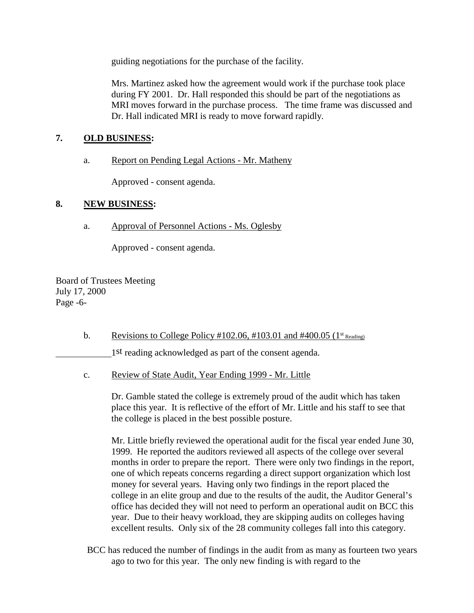guiding negotiations for the purchase of the facility.

Mrs. Martinez asked how the agreement would work if the purchase took place during FY 2001. Dr. Hall responded this should be part of the negotiations as MRI moves forward in the purchase process. The time frame was discussed and Dr. Hall indicated MRI is ready to move forward rapidly.

# **7. OLD BUSINESS:**

a. Report on Pending Legal Actions - Mr. Matheny

Approved - consent agenda.

# **8. NEW BUSINESS:**

a. Approval of Personnel Actions - Ms. Oglesby

Approved - consent agenda.

Board of Trustees Meeting July 17, 2000 Page -6-

b. Revisions to College Policy #102.06, #103.01 and #400.05 ( $1<sup>st</sup>$  Reading)

1st reading acknowledged as part of the consent agenda.

c. Review of State Audit, Year Ending 1999 - Mr. Little

Dr. Gamble stated the college is extremely proud of the audit which has taken place this year. It is reflective of the effort of Mr. Little and his staff to see that the college is placed in the best possible posture.

Mr. Little briefly reviewed the operational audit for the fiscal year ended June 30, 1999. He reported the auditors reviewed all aspects of the college over several months in order to prepare the report. There were only two findings in the report, one of which repeats concerns regarding a direct support organization which lost money for several years. Having only two findings in the report placed the college in an elite group and due to the results of the audit, the Auditor General's office has decided they will not need to perform an operational audit on BCC this year. Due to their heavy workload, they are skipping audits on colleges having excellent results. Only six of the 28 community colleges fall into this category.

BCC has reduced the number of findings in the audit from as many as fourteen two years ago to two for this year. The only new finding is with regard to the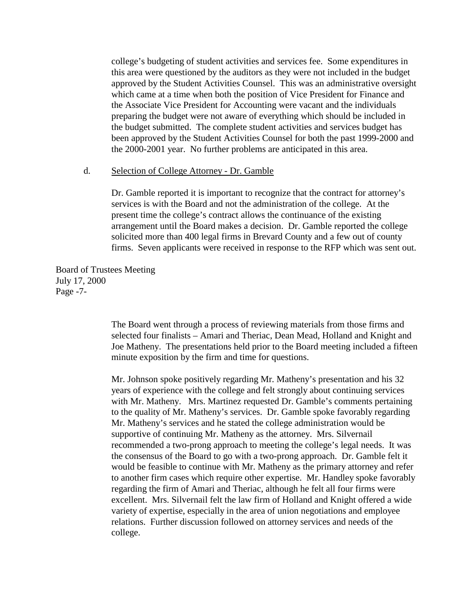college's budgeting of student activities and services fee. Some expenditures in this area were questioned by the auditors as they were not included in the budget approved by the Student Activities Counsel. This was an administrative oversight which came at a time when both the position of Vice President for Finance and the Associate Vice President for Accounting were vacant and the individuals preparing the budget were not aware of everything which should be included in the budget submitted. The complete student activities and services budget has been approved by the Student Activities Counsel for both the past 1999-2000 and the 2000-2001 year. No further problems are anticipated in this area.

#### d. Selection of College Attorney - Dr. Gamble

Dr. Gamble reported it is important to recognize that the contract for attorney's services is with the Board and not the administration of the college. At the present time the college's contract allows the continuance of the existing arrangement until the Board makes a decision. Dr. Gamble reported the college solicited more than 400 legal firms in Brevard County and a few out of county firms. Seven applicants were received in response to the RFP which was sent out.

Board of Trustees Meeting July 17, 2000 Page -7-

> The Board went through a process of reviewing materials from those firms and selected four finalists – Amari and Theriac, Dean Mead, Holland and Knight and Joe Matheny. The presentations held prior to the Board meeting included a fifteen minute exposition by the firm and time for questions.

> Mr. Johnson spoke positively regarding Mr. Matheny's presentation and his 32 years of experience with the college and felt strongly about continuing services with Mr. Matheny. Mrs. Martinez requested Dr. Gamble's comments pertaining to the quality of Mr. Matheny's services. Dr. Gamble spoke favorably regarding Mr. Matheny's services and he stated the college administration would be supportive of continuing Mr. Matheny as the attorney. Mrs. Silvernail recommended a two-prong approach to meeting the college's legal needs. It was the consensus of the Board to go with a two-prong approach. Dr. Gamble felt it would be feasible to continue with Mr. Matheny as the primary attorney and refer to another firm cases which require other expertise. Mr. Handley spoke favorably regarding the firm of Amari and Theriac, although he felt all four firms were excellent. Mrs. Silvernail felt the law firm of Holland and Knight offered a wide variety of expertise, especially in the area of union negotiations and employee relations. Further discussion followed on attorney services and needs of the college.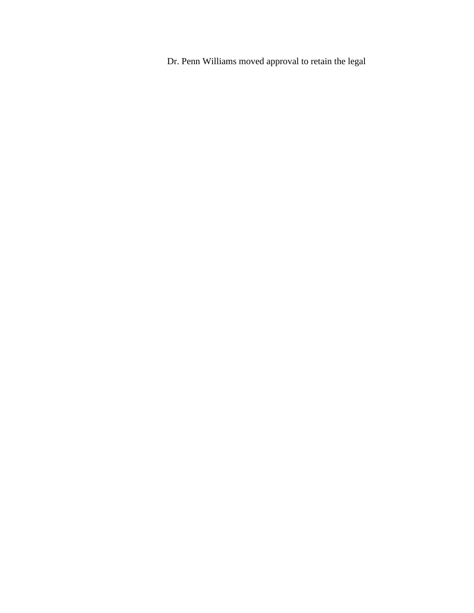Dr. Penn Williams moved approval to retain the legal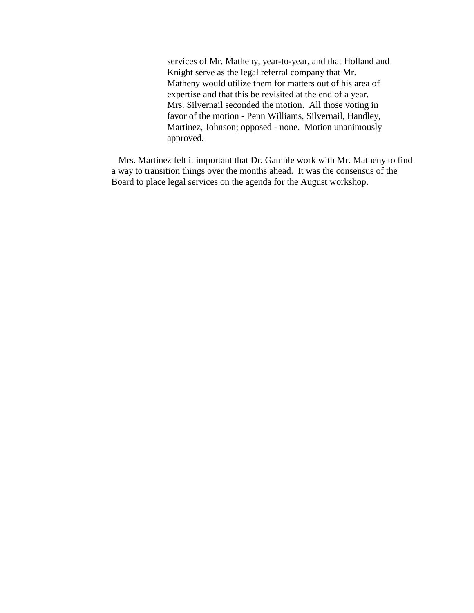services of Mr. Matheny, year-to-year, and that Holland and Knight serve as the legal referral company that Mr. Matheny would utilize them for matters out of his area of expertise and that this be revisited at the end of a year. Mrs. Silvernail seconded the motion. All those voting in favor of the motion - Penn Williams, Silvernail, Handley, Martinez, Johnson; opposed - none. Motion unanimously approved.

 Mrs. Martinez felt it important that Dr. Gamble work with Mr. Matheny to find a way to transition things over the months ahead. It was the consensus of the Board to place legal services on the agenda for the August workshop.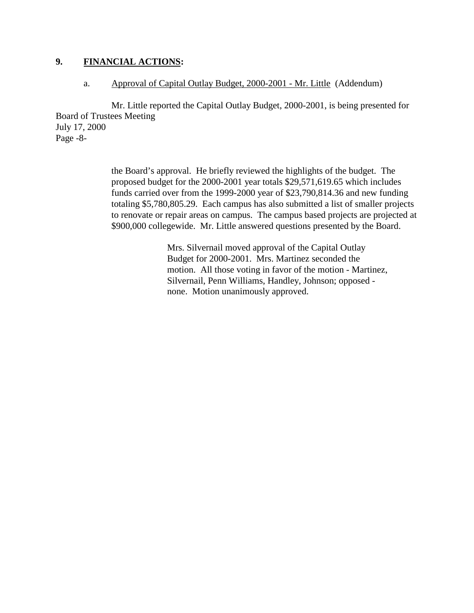# **9. FINANCIAL ACTIONS:**

#### a. Approval of Capital Outlay Budget, 2000-2001 - Mr. Little (Addendum)

Mr. Little reported the Capital Outlay Budget, 2000-2001, is being presented for Board of Trustees Meeting July 17, 2000 Page -8-

> the Board's approval. He briefly reviewed the highlights of the budget. The proposed budget for the 2000-2001 year totals \$29,571,619.65 which includes funds carried over from the 1999-2000 year of \$23,790,814.36 and new funding totaling \$5,780,805.29. Each campus has also submitted a list of smaller projects to renovate or repair areas on campus. The campus based projects are projected at \$900,000 collegewide. Mr. Little answered questions presented by the Board.

> > Mrs. Silvernail moved approval of the Capital Outlay Budget for 2000-2001. Mrs. Martinez seconded the motion. All those voting in favor of the motion - Martinez, Silvernail, Penn Williams, Handley, Johnson; opposed none. Motion unanimously approved.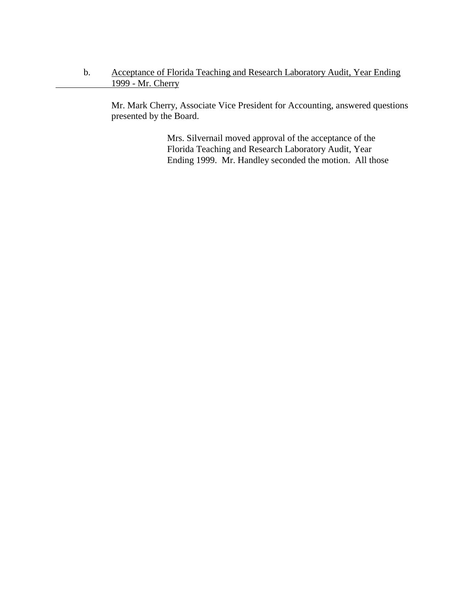# b. Acceptance of Florida Teaching and Research Laboratory Audit, Year Ending 1999 - Mr. Cherry

Mr. Mark Cherry, Associate Vice President for Accounting, answered questions presented by the Board.

> Mrs. Silvernail moved approval of the acceptance of the Florida Teaching and Research Laboratory Audit, Year Ending 1999. Mr. Handley seconded the motion. All those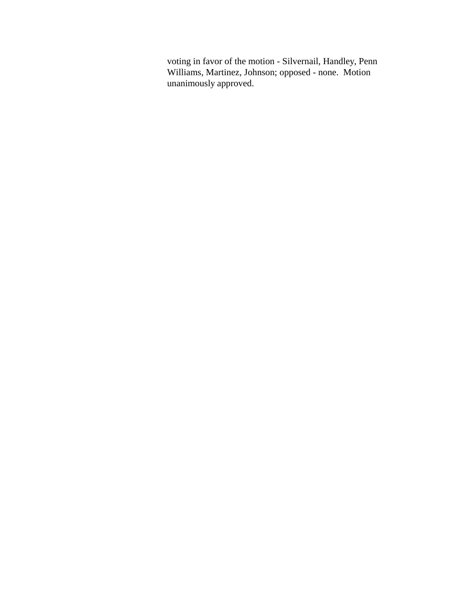voting in favor of the motion - Silvernail, Handley, Penn Williams, Martinez, Johnson; opposed - none. Motion unanimously approved.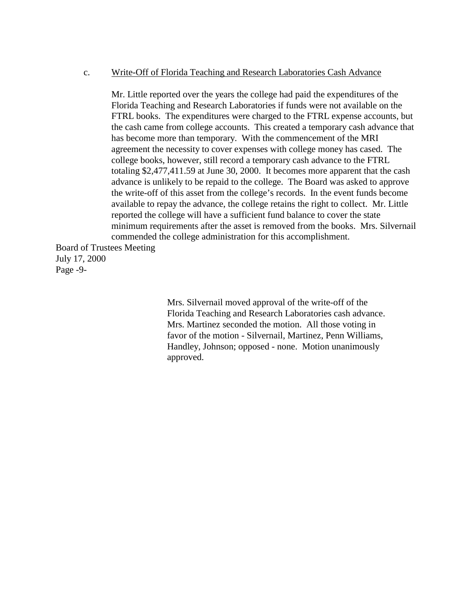#### c. Write-Off of Florida Teaching and Research Laboratories Cash Advance

Mr. Little reported over the years the college had paid the expenditures of the Florida Teaching and Research Laboratories if funds were not available on the FTRL books. The expenditures were charged to the FTRL expense accounts, but the cash came from college accounts. This created a temporary cash advance that has become more than temporary. With the commencement of the MRI agreement the necessity to cover expenses with college money has cased. The college books, however, still record a temporary cash advance to the FTRL totaling \$2,477,411.59 at June 30, 2000. It becomes more apparent that the cash advance is unlikely to be repaid to the college. The Board was asked to approve the write-off of this asset from the college's records. In the event funds become available to repay the advance, the college retains the right to collect. Mr. Little reported the college will have a sufficient fund balance to cover the state minimum requirements after the asset is removed from the books. Mrs. Silvernail commended the college administration for this accomplishment.

Board of Trustees Meeting July 17, 2000 Page -9-

> Mrs. Silvernail moved approval of the write-off of the Florida Teaching and Research Laboratories cash advance. Mrs. Martinez seconded the motion. All those voting in favor of the motion - Silvernail, Martinez, Penn Williams, Handley, Johnson; opposed - none. Motion unanimously approved.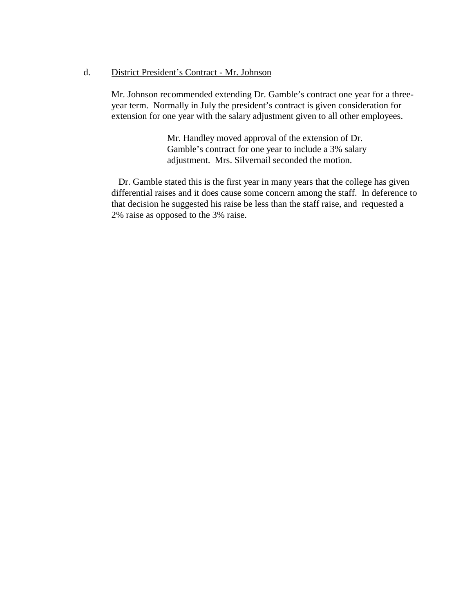#### d. District President's Contract - Mr. Johnson

Mr. Johnson recommended extending Dr. Gamble's contract one year for a threeyear term. Normally in July the president's contract is given consideration for extension for one year with the salary adjustment given to all other employees.

> Mr. Handley moved approval of the extension of Dr. Gamble's contract for one year to include a 3% salary adjustment. Mrs. Silvernail seconded the motion.

 Dr. Gamble stated this is the first year in many years that the college has given differential raises and it does cause some concern among the staff. In deference to that decision he suggested his raise be less than the staff raise, and requested a 2% raise as opposed to the 3% raise.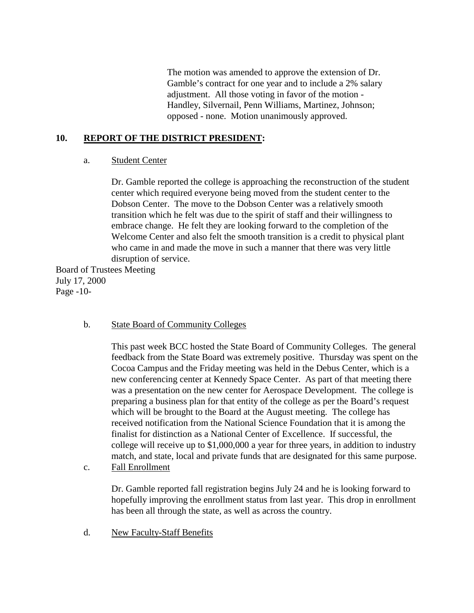The motion was amended to approve the extension of Dr. Gamble's contract for one year and to include a 2% salary adjustment. All those voting in favor of the motion - Handley, Silvernail, Penn Williams, Martinez, Johnson; opposed - none. Motion unanimously approved.

### **10. REPORT OF THE DISTRICT PRESIDENT:**

#### a. Student Center

Dr. Gamble reported the college is approaching the reconstruction of the student center which required everyone being moved from the student center to the Dobson Center. The move to the Dobson Center was a relatively smooth transition which he felt was due to the spirit of staff and their willingness to embrace change. He felt they are looking forward to the completion of the Welcome Center and also felt the smooth transition is a credit to physical plant who came in and made the move in such a manner that there was very little disruption of service.

Board of Trustees Meeting July 17, 2000 Page -10-

#### b. State Board of Community Colleges

This past week BCC hosted the State Board of Community Colleges. The general feedback from the State Board was extremely positive. Thursday was spent on the Cocoa Campus and the Friday meeting was held in the Debus Center, which is a new conferencing center at Kennedy Space Center. As part of that meeting there was a presentation on the new center for Aerospace Development. The college is preparing a business plan for that entity of the college as per the Board's request which will be brought to the Board at the August meeting. The college has received notification from the National Science Foundation that it is among the finalist for distinction as a National Center of Excellence. If successful, the college will receive up to \$1,000,000 a year for three years, in addition to industry match, and state, local and private funds that are designated for this same purpose. c. Fall Enrollment

Dr. Gamble reported fall registration begins July 24 and he is looking forward to hopefully improving the enrollment status from last year. This drop in enrollment has been all through the state, as well as across the country.

d. New Faculty-Staff Benefits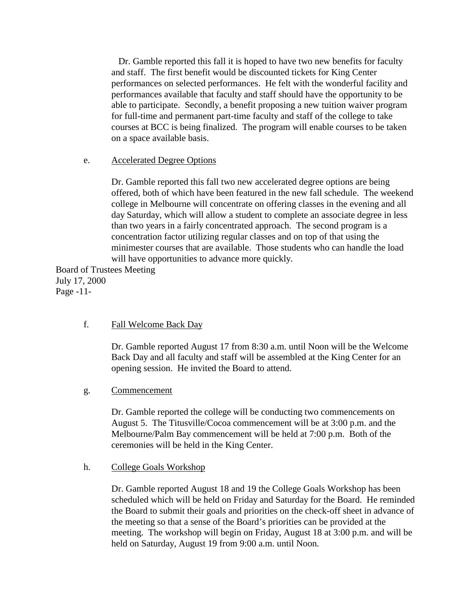Dr. Gamble reported this fall it is hoped to have two new benefits for faculty and staff. The first benefit would be discounted tickets for King Center performances on selected performances. He felt with the wonderful facility and performances available that faculty and staff should have the opportunity to be able to participate. Secondly, a benefit proposing a new tuition waiver program for full-time and permanent part-time faculty and staff of the college to take courses at BCC is being finalized. The program will enable courses to be taken on a space available basis.

### e. Accelerated Degree Options

Dr. Gamble reported this fall two new accelerated degree options are being offered, both of which have been featured in the new fall schedule. The weekend college in Melbourne will concentrate on offering classes in the evening and all day Saturday, which will allow a student to complete an associate degree in less than two years in a fairly concentrated approach. The second program is a concentration factor utilizing regular classes and on top of that using the minimester courses that are available. Those students who can handle the load will have opportunities to advance more quickly.

Board of Trustees Meeting July 17, 2000 Page -11-

#### f. Fall Welcome Back Day

Dr. Gamble reported August 17 from 8:30 a.m. until Noon will be the Welcome Back Day and all faculty and staff will be assembled at the King Center for an opening session. He invited the Board to attend.

#### g. Commencement

Dr. Gamble reported the college will be conducting two commencements on August 5. The Titusville/Cocoa commencement will be at 3:00 p.m. and the Melbourne/Palm Bay commencement will be held at 7:00 p.m. Both of the ceremonies will be held in the King Center.

#### h. College Goals Workshop

Dr. Gamble reported August 18 and 19 the College Goals Workshop has been scheduled which will be held on Friday and Saturday for the Board. He reminded the Board to submit their goals and priorities on the check-off sheet in advance of the meeting so that a sense of the Board's priorities can be provided at the meeting. The workshop will begin on Friday, August 18 at 3:00 p.m. and will be held on Saturday, August 19 from 9:00 a.m. until Noon.